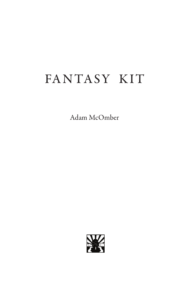# FANTASY KIT

Adam McOmber

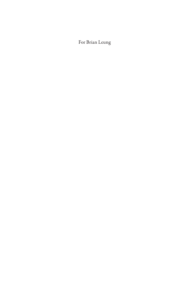For Brian Leung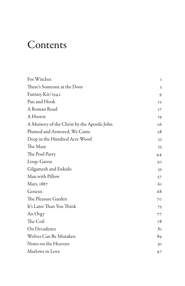## Contents

| For Witches                                | 1              |
|--------------------------------------------|----------------|
| There's Someone at the Door                | 3              |
| Fantasy Kit/1942                           | 9              |
| Pan and Hook                               | 12             |
| A Roman Road                               | 17             |
| A Horror                                   | 19             |
| A Memory of the Christ by the Apostle John | 26             |
| Plumed and Armored, We Came                | 28             |
| Deep in the Hundred Acre Wood              | 33             |
| The Maze                                   | 35             |
| The Pool Party                             | 44             |
| Loup-Garou                                 | 50             |
| Gilgamesh and Enkidu                       | 55             |
| Man with Pillow                            | 57             |
| Mars, 1887                                 | 61             |
| Genesis                                    | 68             |
| The Pleasure Garden                        | 70             |
| It's Later Than You Think                  | 75             |
| An Orgy                                    | 77             |
| The Coil                                   | 78             |
| On Decadence                               | 8 <sub>I</sub> |
| Wolves Can Be Mistaken                     | 89             |
| Notes on the Heavens                       | 91             |
| Marlowe in Love                            | 97             |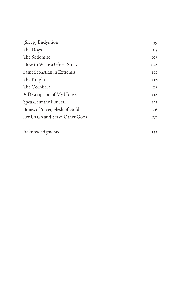| 99              |
|-----------------|
| IO3             |
| IO <sub>5</sub> |
| 108             |
| $_{\rm IIO}$    |
| II2             |
| II5             |
| 118             |
| 12I             |
| 126             |
| 130             |
|                 |

Acknowledgments 132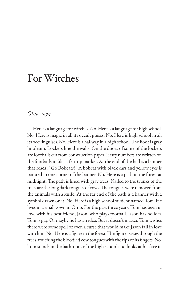#### For Witches

#### *Ohio, 1994*

Here is a language for witches. No. Here is a language for high school. No. Here is magic in all its occult guises. No. Here is high school in all its occult guises. No. Here is a hallway in a high school. The floor is gray linoleum. Lockers line the walls. On the doors of some of the lockers are footballs cut from construction paper. Jersey numbers are written on the footballs in black felt-tip marker. At the end of the hall is a banner that reads: "Go Bobcats!" A bobcat with black ears and yellow eyes is painted in one corner of the banner. No. Here is a path in the forest at midnight. The path is lined with gray trees. Nailed to the trunks of the trees are the long dark tongues of cows. The tongues were removed from the animals with a knife. At the far end of the path is a banner with a symbol drawn on it. No. Here is a high school student named Tom. He lives in a small town in Ohio. For the past three years, Tom has been in love with his best friend, Jason, who plays football. Jason has no idea Tom is gay. Or maybe he has an idea. But it doesn't matter. Tom wishes there were some spell or even a curse that would make Jason fall in love with him. No. Here is a figure in the forest. The figure passes through the trees, touching the bloodied cow tongues with the tips of its fingers. No. Tom stands in the bathroom of the high school and looks at his face in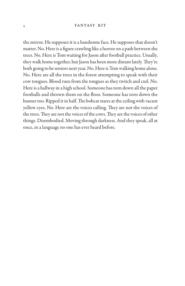the mirror. He supposes it is a handsome face. He supposes that doesn't matter. No. Here is a figure crawling like a horror on a path between the trees. No. Here is Tom waiting for Jason after football practice. Usually, they walk home together, but Jason has been more distant lately. They're both going to be seniors next year. No. Here is Tom walking home alone. No. Here are all the trees in the forest attempting to speak with their cow tongues. Blood runs from the tongues as they twitch and curl. No. Here is a hallway in a high school. Someone has torn down all the paper footballs and thrown them on the floor. Someone has torn down the banner too. Ripped it in half. The bobcat stares at the ceiling with vacant yellow eyes. No. Here are the voices calling. They are not the voices of the trees. They are not the voices of the cows. They are the voices of other things. Disembodied. Moving through darkness. And they speak, all at once, in a language no one has ever heard before.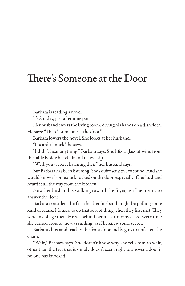### There's Someone at the Door

Barbara is reading a novel.

It's Sunday, just after nine p.m.

Her husband enters the living room, drying his hands on a dishcloth. He says: "There's someone at the door."

Barbara lowers the novel. She looks at her husband.

"I heard a knock," he says.

"I didn't hear anything," Barbara says. She lifts a glass of wine from the table beside her chair and takes a sip.

"Well, you weren't listening then," her husband says.

But Barbara has been listening. She's quite sensitive to sound. And she would know if someone knocked on the door, especially if her husband heard it all the way from the kitchen.

Now her husband is walking toward the foyer, as if he means to answer the door.

Barbara considers the fact that her husband might be pulling some kind of prank. He used to do that sort of thing when they first met. They were in college then. He sat behind her in astronomy class. Every time she turned around, he was smiling, as if he knew some secret.

Barbara's husband reaches the front door and begins to unfasten the chain.

"Wait," Barbara says. She doesn't know why she tells him to wait, other than the fact that it simply doesn't seem right to answer a door if no one has knocked.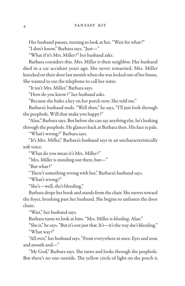Her husband pauses, turning to look at her. "Wait for what?"

"I don't know," Barbara says. "Just—"

"What if it's Mrs. Miller?" her husband asks.

Barbara considers this. Mrs. Miller is their neighbor. Her husband died in a car accident years ago. She never remarried. Mrs. Miller knocked on their door last month when she was locked out of her house. She wanted to use the telephone to call her sister.

"It isn't Mrs. Miller," Barbara says.

"How do you know?" her husband asks.

"Because she hides a key on her porch now. She told me."

Barbara's husband nods. "Well then," he says, "I'll just look through the peephole. Will that make you happy?"

"Alan," Barbara says. But before she can say anything else, he's looking through the peephole. He glances back at Barbara then. His face is pale.

"What's wrong?" Barbara says.

"It's Mrs. Miller," Barbara's husband says in an uncharacteristically soft voice.

"What do you mean it's Mrs. Miller?"

"Mrs. Miller is standing out there, but—"

"But what?"

"There's something wrong with her," Barbara's husband says.

"What's wrong?"

"She's—well, she's bleeding,"

Barbara drops her book and stands from the chair. She moves toward the foyer, brushing past her husband. She begins to unfasten the door chain.

"Wait," her husband says.

Barbara turns to look at him. "Mrs. Miller is *bleeding*, Alan."

"She is," he says. "But it's not just that. It's—it's the way she's bleeding." "What way?"

"All over," her husband says. "From everywhere at once. Eyes and nose and mouth and—"

"My God," Barbara says. She turns and looks through the peephole. But there's no one outside. The yellow circle of light on the porch is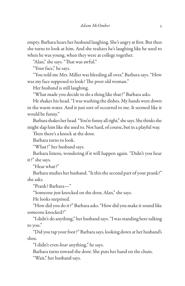empty. Barbara hears her husband laughing. She's angry at first. But then she turns to look at him. And she realizes he's laughing like he used to when he was young, when they were at college together.

"Alan," she says. "That was awful."

"Your face," he says.

"You told me Mrs. Miller was bleeding all over," Barbara says. "How was my face supposed to look? The poor old woman."

Her husband is still laughing.

"What made you decide to do a thing like that?" Barbara asks.

He shakes his head. "I was washing the dishes. My hands were down in the warm water. And it just sort of occurred to me. It seemed like it would be funny."

Barbara shakes her head. "You're funny all right," she says. She thinks she might slap him like she used to. Not hard, of course, but in a playful way.

Then there's a knock at the door.

Barbara turns to look.

"What?" her husband says.

Barbara listens, wondering if it will happen again. "Didn't you hear it?" she says.

"Hear what?"

Barbara studies her husband. "Is this the second part of your prank?" she asks.

"Prank? Barbara—"

"Someone just knocked on the door, Alan," she says.

He looks surprised.

"How did you do it?" Barbara asks. "How did you make it sound like someone knocked?"

"I didn't do anything," her husband says. "I was standing here talking to you."

"Did you tap your foot?" Barbara says, looking down at her husband's shoe.

"I didn't even *hear* anything," he says.

Barbara turns toward the door. She puts her hand on the chain.

"Wait," her husband says.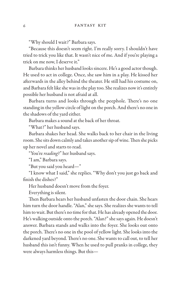"Why should I wait?" Barbara says.

"Because this doesn't seem right. I'm really sorry. I shouldn't have tried to trick you like that. It wasn't nice of me. And if you're playing a trick on me now, I deserve it."

Barbara thinks her husband looks sincere. He's a good actor though. He used to act in college. Once, she saw him in a play. He kissed her afterwards in the alley behind the theater. He still had his costume on, and Barbara felt like she was in the play too. She realizes now it's entirely possible her husband is not afraid at all.

Barbara turns and looks through the peephole. There's no one standing in the yellow circle of light on the porch. And there's no one in the shadows of the yard either.

Barbara makes a sound at the back of her throat.

"What?" her husband says.

Barbara shakes her head. She walks back to her chair in the living room. She sits down calmly and takes another sip of wine. Then she picks up her novel and starts to read.

"You're *reading*?" her husband says.

"I am," Barbara says.

"But you said you heard—"

"I know what I said," she replies. "Why don't you just go back and finish the dishes?"

Her husband doesn't move from the foyer.

Everything is silent.

Then Barbara hears her husband unfasten the door chain. She hears him turn the door handle. "Alan," she says. She realizes she wants to tell him to wait. But there's no time for that. He has already opened the door. He's walking outside onto the porch. "Alan?" she says again. He doesn't answer. Barbara stands and walks into the foyer. She looks out onto the porch. There's no one in the pool of yellow light. She looks into the darkened yard beyond. There's no one. She wants to call out, to tell her husband this isn't funny. When he used to pull pranks in college, they were always harmless things. But this—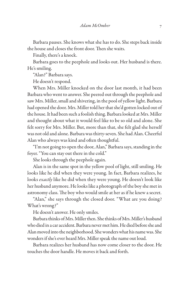Barbara pauses. She knows what she has to do. She steps back inside the house and closes the front door. Then she waits.

Finally, there's a knock.

Barbara goes to the peephole and looks out. Her husband is there. He's smiling.

"Alan?" Barbara says.

He doesn't respond.

When Mrs. Miller knocked on the door last month, it had been Barbara who went to answer. She peered out through the peephole and saw Mrs. Miller, small and shivering, in the pool of yellow light. Barbara had opened the door. Mrs. Miller told her that she'd gotten locked out of the house. It had been such a foolish thing. Barbara looked at Mrs. Miller and thought about what it would feel like to be so old and alone. She felt sorry for Mrs. Miller. But, more than that, she felt glad she herself was not old and alone. Barbara was thirty-seven. She had Alan. Cheerful Alan who always was kind and often thoughtful.

"I'm not going to open the door, Alan," Barbara says, standing in the foyer. "You can stay out there in the cold."

She looks through the peephole again.

Alan is in the same spot in the yellow pool of light, still smiling. He looks like he did when they were young. In fact, Barbara realizes, he looks *exactly* like he did when they were young. He doesn't look like her husband anymore. He looks like a photograph of the boy she met in astronomy class. The boy who would smile at her as if he knew a secret.

"Alan," she says through the closed door. "What are you doing? What's wrong?"

He doesn't answer. He only smiles.

Barbara thinks of Mrs. Miller then. She thinks of Mrs. Miller's husband who died in a car accident. Barbara never met him. He died before she and Alan moved into the neighborhood. She wonders what his name was. She wonders if she's ever heard Mrs. Miller speak the name out loud.

Barbara realizes her husband has now come closer to the door. He touches the door handle. He moves it back and forth.